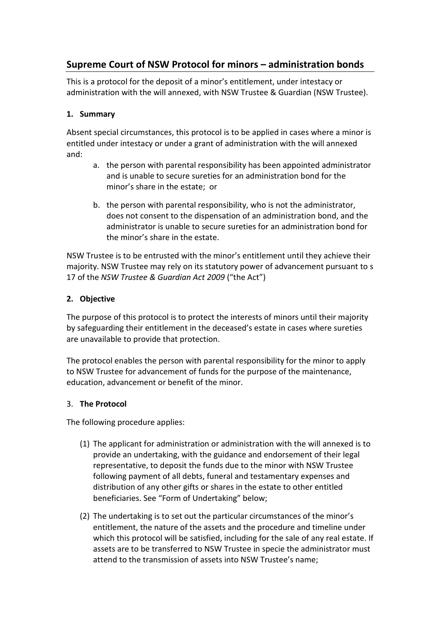# **Supreme Court of NSW Protocol for minors – administration bonds**

This is a protocol for the deposit of a minor's entitlement, under intestacy or administration with the will annexed, with NSW Trustee & Guardian (NSW Trustee).

## **1. Summary**

Absent special circumstances, this protocol is to be applied in cases where a minor is entitled under intestacy or under a grant of administration with the will annexed and:

- a. the person with parental responsibility has been appointed administrator and is unable to secure sureties for an administration bond for the minor's share in the estate; or
- b. the person with parental responsibility, who is not the administrator, does not consent to the dispensation of an administration bond, and the administrator is unable to secure sureties for an administration bond for the minor's share in the estate.

NSW Trustee is to be entrusted with the minor's entitlement until they achieve their majority. NSW Trustee may rely on its statutory power of advancement pursuant to s 17 of the *NSW Trustee & Guardian Act 2009* ("the Act")

## **2. Objective**

The purpose of this protocol is to protect the interests of minors until their majority by safeguarding their entitlement in the deceased's estate in cases where sureties are unavailable to provide that protection.

The protocol enables the person with parental responsibility for the minor to apply to NSW Trustee for advancement of funds for the purpose of the maintenance, education, advancement or benefit of the minor.

#### 3. **The Protocol**

The following procedure applies:

- (1) The applicant for administration or administration with the will annexed is to provide an undertaking, with the guidance and endorsement of their legal representative, to deposit the funds due to the minor with NSW Trustee following payment of all debts, funeral and testamentary expenses and distribution of any other gifts or shares in the estate to other entitled beneficiaries. See "Form of Undertaking" below;
- (2) The undertaking is to set out the particular circumstances of the minor's entitlement, the nature of the assets and the procedure and timeline under which this protocol will be satisfied, including for the sale of any real estate. If assets are to be transferred to NSW Trustee in specie the administrator must attend to the transmission of assets into NSW Trustee's name;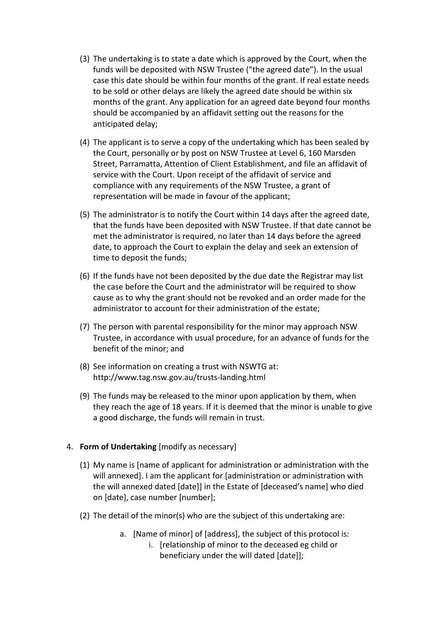- (3) The undertaking is to state a date which is approved by the Court, when the funds will be deposited with NSW Trustee ("the agreed date"). In the usual case this date should be within four months of the grant. If real estate needs to be sold or other delays are likely the agreed date should be within six months of the grant. Any application for an agreed date beyond four months should be accompanied by an affidavit setting out the reasons for the anticipated delay;
- (4) The applicant is to serve a copy of the undertaking which has been sealed by the Court, personally or by post on NSW Trustee at Level 6, 160 Marsden Street, Parramatta, Attention of Client Establishment, and file an affidavit of service with the Court. Upon receipt of the affidavit of service and compliance with any requirements of the NSW Trustee, a grant of representation will be made in favour of the applicant;
- (5) The administrator is to notify the Court within 14 days after the agreed date, that the funds have been deposited with NSW Trustee. If that date cannot be met the administrator is required, no later than 14 days before the agreed date, to approach the Court to explain the delay and seek an extension of time to deposit the funds;
- (6) If the funds have not been deposited by the due date the Registrar may list the case before the Court and the administrator will be required to show cause as to why the grant should not be revoked and an order made for the administrator to account for their administration of the estate;
- (7) The person with parental responsibility for the minor may approach NSW Trustee, in accordance with usual procedure, for an advance of funds for the benefit of the minor; and
- (8) See information on creating a trust with NSWTG at: http://www.tag.nsw.gov.au/trusts-landing.html
- (9) The funds may be released to the minor upon application by them, when they reach the age of 18 years. If it is deemed that the minor is unable to give a good discharge, the funds will remain in trust.

#### 4. **Form of Undertaking** [modify as necessary]

- (1) My name is [name of applicant for administration or administration with the will annexed]. I am the applicant for [administration or administration with the will annexed dated [date]] in the Estate of [deceased's name] who died on [date], case number [number];
- (2) The detail of the minor(s) who are the subject of this undertaking are:
	- a. [Name of minor] of [address], the subject of this protocol is:
		- i. [relationship of minor to the deceased eg child or beneficiary under the will dated [date]];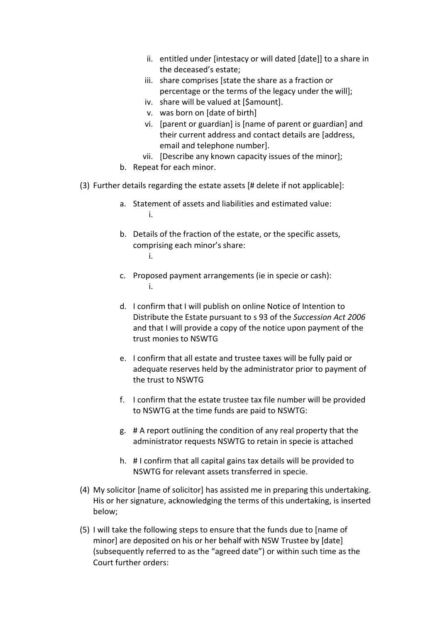- ii. entitled under [intestacy or will dated [date]] to a share in the deceased's estate;
- iii. share comprises [state the share as a fraction or percentage or the terms of the legacy under the will];
- iv. share will be valued at [\$amount].
- v. was born on [date of birth]
- vi. [parent or guardian] is [name of parent or guardian] and their current address and contact details are [address, email and telephone number].
- vii. [Describe any known capacity issues of the minor];
- b. Repeat for each minor.
- (3) Further details regarding the estate assets [# delete if not applicable]:
	- a. Statement of assets and liabilities and estimated value: i.
	- b. Details of the fraction of the estate, or the specific assets, comprising each minor's share: i.
	- c. Proposed payment arrangements (ie in specie or cash): i.
	- d. I confirm that I will publish on online Notice of Intention to Distribute the Estate pursuant to s 93 of the *Succession Act 2006*  and that I will provide a copy of the notice upon payment of the trust monies to NSWTG
	- e. I confirm that all estate and trustee taxes will be fully paid or adequate reserves held by the administrator prior to payment of the trust to NSWTG
	- f. I confirm that the estate trustee tax file number will be provided to NSWTG at the time funds are paid to NSWTG:
	- g. # A report outlining the condition of any real property that the administrator requests NSWTG to retain in specie is attached
	- h. # I confirm that all capital gains tax details will be provided to NSWTG for relevant assets transferred in specie.
- (4) My solicitor [name of solicitor] has assisted me in preparing this undertaking. His or her signature, acknowledging the terms of this undertaking, is inserted below;
- (5) I will take the following steps to ensure that the funds due to [name of minor] are deposited on his or her behalf with NSW Trustee by [date] (subsequently referred to as the "agreed date") or within such time as the Court further orders: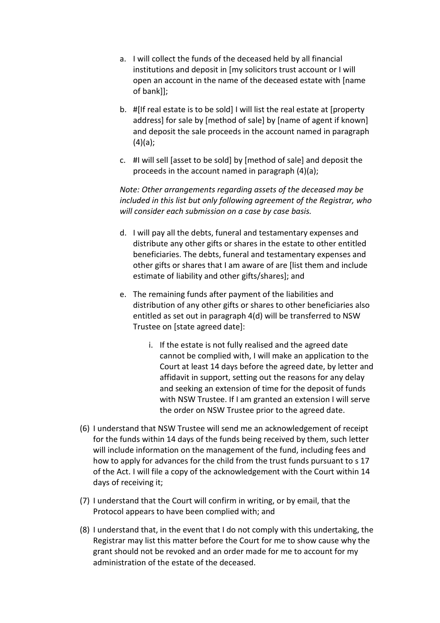- a. I will collect the funds of the deceased held by all financial institutions and deposit in [my solicitors trust account or I will open an account in the name of the deceased estate with [name of bank]];
- b. #[If real estate is to be sold] I will list the real estate at [property address] for sale by [method of sale] by [name of agent if known] and deposit the sale proceeds in the account named in paragraph  $(4)(a)$ ;
- c. #I will sell [asset to be sold] by [method of sale] and deposit the proceeds in the account named in paragraph (4)(a);

*Note: Other arrangements regarding assets of the deceased may be included in this list but only following agreement of the Registrar, who will consider each submission on a case by case basis.*

- d. I will pay all the debts, funeral and testamentary expenses and distribute any other gifts or shares in the estate to other entitled beneficiaries. The debts, funeral and testamentary expenses and other gifts or shares that I am aware of are [list them and include estimate of liability and other gifts/shares]; and
- e. The remaining funds after payment of the liabilities and distribution of any other gifts or shares to other beneficiaries also entitled as set out in paragraph 4(d) will be transferred to NSW Trustee on [state agreed date]:
	- i. If the estate is not fully realised and the agreed date cannot be complied with, I will make an application to the Court at least 14 days before the agreed date, by letter and affidavit in support, setting out the reasons for any delay and seeking an extension of time for the deposit of funds with NSW Trustee. If I am granted an extension I will serve the order on NSW Trustee prior to the agreed date.
- (6) I understand that NSW Trustee will send me an acknowledgement of receipt for the funds within 14 days of the funds being received by them, such letter will include information on the management of the fund, including fees and how to apply for advances for the child from the trust funds pursuant to s 17 of the Act. I will file a copy of the acknowledgement with the Court within 14 days of receiving it;
- (7) I understand that the Court will confirm in writing, or by email, that the Protocol appears to have been complied with; and
- (8) I understand that, in the event that I do not comply with this undertaking, the Registrar may list this matter before the Court for me to show cause why the grant should not be revoked and an order made for me to account for my administration of the estate of the deceased.